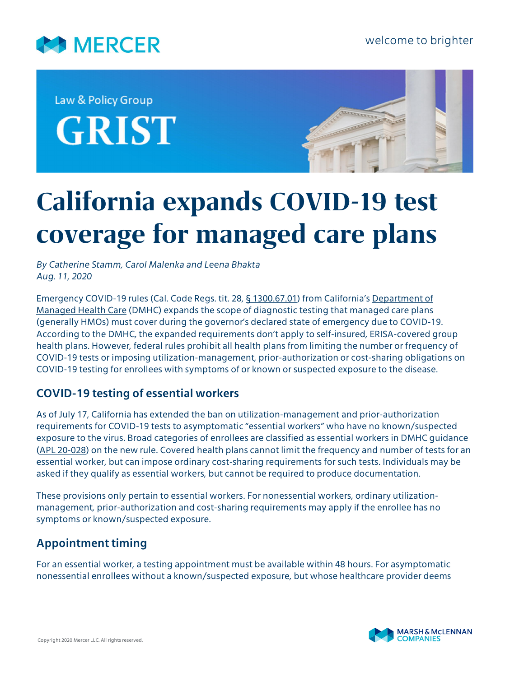

Law & Policy Group **GRIST** 



# **California expands COVID-19 test coverage for managed care plans**

*By Catherine Stamm, Carol Malenka and Leena Bhakta Aug. 11, 2020*

Emergency COVID-19 rules (Cal. Code Regs. tit. 28, [§ 1300.67.01](https://wpso.dmhc.ca.gov/regulations/docs/regs/50/1632863291977.pdf)) from California's [Department of](http://www.dmhc.ca.gov/?referral=healthhelp.ca.gov) [Managed Health Care](http://www.dmhc.ca.gov/?referral=healthhelp.ca.gov) (DMHC) expands the scope of diagnostic testing that managed care plans (generally HMOs) must cover during the governor's declared state of emergency due to COVID-19. According to the DMHC, the expanded requirements don't apply to self-insured, ERISA-covered group health plans. However, federal rules prohibit all health plans from limiting the number or frequency of COVID-19 tests or imposing utilization-management, prior-authorization or cost-sharing obligations on COVID-19 testing for enrollees with symptoms of or known or suspected exposure to the disease.

# **COVID-19 testing of essential workers**

As of July 17, California has extended the ban on utilization-management and prior-authorization requirements for COVID-19 tests to asymptomatic "essential workers" who have no known/suspected exposure to the virus. Broad categories of enrollees are classified as essential workers in DMHC guidance [\(APL 20-028](http://www.dmhc.ca.gov/Portals/0/Docs/OPL/APL%2020-028%20-%20Emergency%20Regulation%20Regarding%20COVID-19%20Diagnostic%20Testing%20(7_23_20).pdf?ver=2020-07-23-165759-040)) on the new rule. Covered health plans cannot limit the frequency and number of tests for an essential worker, but can impose ordinary cost-sharing requirements for such tests. Individuals may be asked if they qualify as essential workers, but cannot be required to produce documentation.

These provisions only pertain to essential workers. For nonessential workers, ordinary utilizationmanagement, prior-authorization and cost-sharing requirements may apply if the enrollee has no symptoms or known/suspected exposure.

# **Appointment timing**

For an essential worker, a testing appointment must be available within 48 hours. For asymptomatic nonessential enrollees without a known/suspected exposure, but whose healthcare provider deems